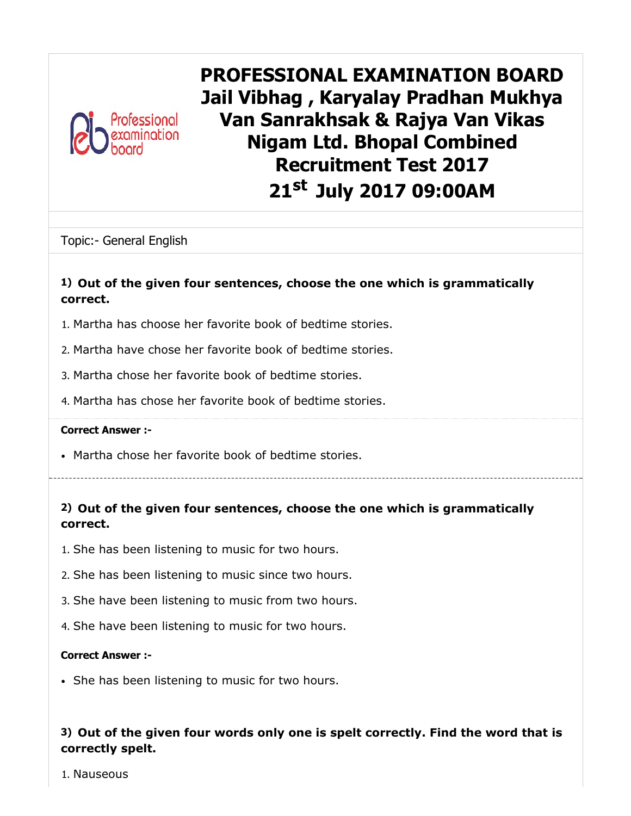

PROFESSIONAL EXAMINATION BOARD Jail Vibhag , Karyalay Pradhan Mukhya Van Sanrakhsak & Rajya Van Vikas Nigam Ltd. Bhopal Combined Recruitment Test 2017 21<sup>st</sup> July 2017 09:00AM

Topic:- General English

### 1) Out of the given four sentences, choose the one which is grammatically correct.

- 1. Martha has choose her favorite book of bedtime stories.
- 2. Martha have chose her favorite book of bedtime stories.
- 3. Martha chose her favorite book of bedtime stories.
- 4. Martha has chose her favorite book of bedtime stories.

#### Correct Answer :-

Martha chose her favorite book of bedtime stories.

## 2) Out of the given four sentences, choose the one which is grammatically correct.

- 1. She has been listening to music for two hours.
- 2. She has been listening to music since two hours.
- 3. She have been listening to music from two hours.
- 4. She have been listening to music for two hours.

#### Correct Answer :-

• She has been listening to music for two hours.

### 3) Out of the given four words only one is spelt correctly. Find the word that is correctly spelt.

1. Nauseous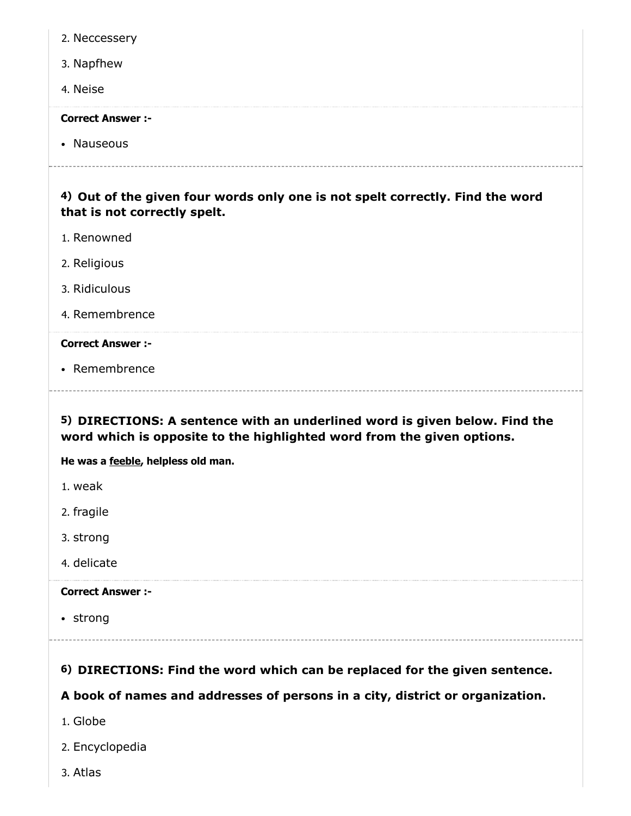| 2. Neccessery                                                                                                                                        |
|------------------------------------------------------------------------------------------------------------------------------------------------------|
| 3. Napfhew                                                                                                                                           |
| 4. Neise                                                                                                                                             |
| <b>Correct Answer :-</b>                                                                                                                             |
| • Nauseous                                                                                                                                           |
| 4) Out of the given four words only one is not spelt correctly. Find the word<br>that is not correctly spelt.                                        |
| 1. Renowned                                                                                                                                          |
| 2. Religious                                                                                                                                         |
| 3. Ridiculous                                                                                                                                        |
| 4. Remembrence                                                                                                                                       |
| <b>Correct Answer :-</b>                                                                                                                             |
| • Remembrence                                                                                                                                        |
|                                                                                                                                                      |
| 5) DIRECTIONS: A sentence with an underlined word is given below. Find the<br>word which is opposite to the highlighted word from the given options. |
| He was a feeble, helpless old man.                                                                                                                   |
| 1. weak                                                                                                                                              |
| 2. fragile                                                                                                                                           |
| 3. strong                                                                                                                                            |
| 4. delicate                                                                                                                                          |
| <b>Correct Answer :-</b>                                                                                                                             |
| • strong                                                                                                                                             |
|                                                                                                                                                      |
| 6) DIRECTIONS: Find the word which can be replaced for the given sentence.                                                                           |
| A book of names and addresses of persons in a city, district or organization.                                                                        |

- 2. Encyclopedia
- 3. Atlas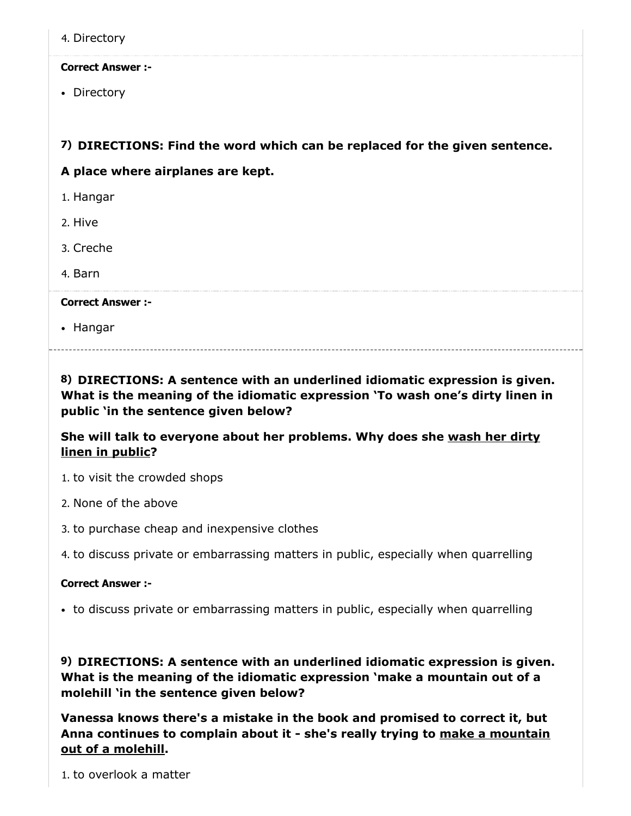4. Directory

#### Correct Answer :-

• Directory

### 7) DIRECTIONS: Find the word which can be replaced for the given sentence.

#### A place where airplanes are kept.

- 1. Hangar
- 2. Hive
- 3. Creche
- 4. Barn

#### Correct Answer :-

• Hangar

8) DIRECTIONS: A sentence with an underlined idiomatic expression is given. What is the meaning of the idiomatic expression 'To wash one's dirty linen in public 'in the sentence given below?

### She will talk to everyone about her problems. Why does she wash her dirty linen in public?

- 1. to visit the crowded shops
- 2. None of the above
- 3. to purchase cheap and inexpensive clothes
- 4. to discuss private or embarrassing matters in public, especially when quarrelling

#### Correct Answer :-

• to discuss private or embarrassing matters in public, especially when quarrelling

9) DIRECTIONS: A sentence with an underlined idiomatic expression is given. What is the meaning of the idiomatic expression 'make a mountain out of a molehill 'in the sentence given below?

Vanessa knows there's a mistake in the book and promised to correct it, but Anna continues to complain about it - she's really trying to make a mountain out of a molehill.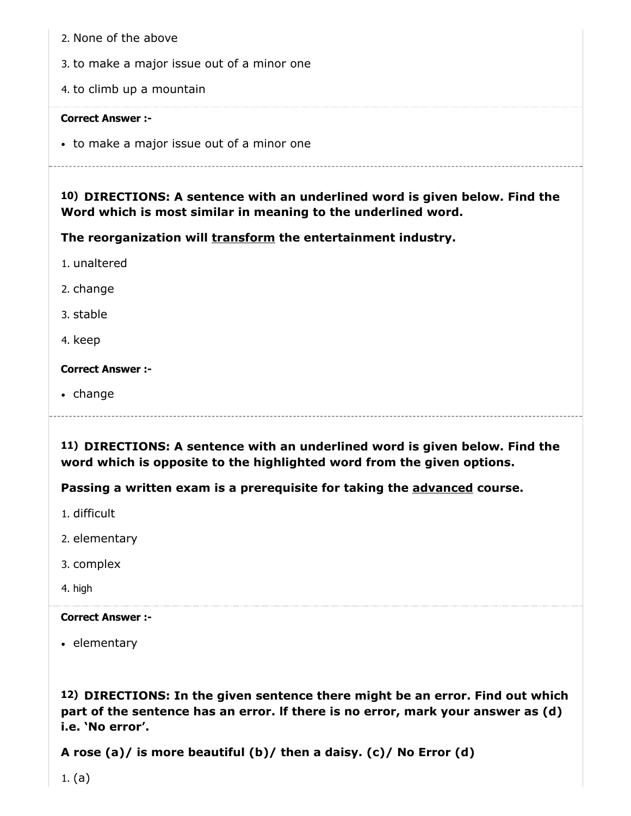- 3. to make a major issue out of a minor one
- 4. to climb up a mountain

• to make a major issue out of a minor one

10) DIRECTIONS: A sentence with an underlined word is given below. Find the Word which is most similar in meaning to the underlined word.

The reorganization will transform the entertainment industry.

1. unaltered

2. change

3. stable

4. keep

Correct Answer :-

• change

11) DIRECTIONS: A sentence with an underlined word is given below. Find the word which is opposite to the highlighted word from the given options.

Passing a written exam is a prerequisite for taking the advanced course.

- 1. difficult
- 2. elementary
- 3. complex
- 4. high

#### Correct Answer :-

• elementary

12) DIRECTIONS: In the given sentence there might be an error. Find out which part of the sentence has an error. lf there is no error, mark your answer as (d) i.e. 'No error'.

A rose (a)/ is more beautiful (b)/ then a daisy. (c)/ No Error (d)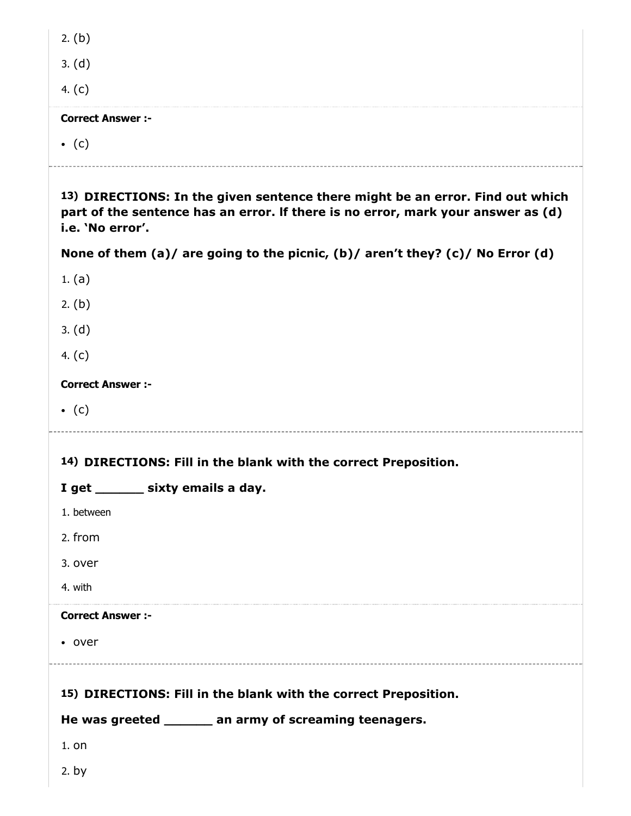| 2. (b)                                                                                                                                                                                |
|---------------------------------------------------------------------------------------------------------------------------------------------------------------------------------------|
| 3. (d)                                                                                                                                                                                |
| 4. $(c)$                                                                                                                                                                              |
| <b>Correct Answer :-</b>                                                                                                                                                              |
| $\bullet$ (c)                                                                                                                                                                         |
|                                                                                                                                                                                       |
| 13) DIRECTIONS: In the given sentence there might be an error. Find out which<br>part of the sentence has an error. If there is no error, mark your answer as (d)<br>i.e. 'No error'. |
| None of them (a)/ are going to the picnic, (b)/ aren't they? (c)/ No Error (d)                                                                                                        |
| 1. $(a)$                                                                                                                                                                              |
| 2. (b)                                                                                                                                                                                |
| 3. (d)                                                                                                                                                                                |
| 4. $(c)$                                                                                                                                                                              |
| <b>Correct Answer :-</b>                                                                                                                                                              |
| $\bullet$ (c)                                                                                                                                                                         |
| 14) DIRECTIONS: Fill in the blank with the correct Preposition.                                                                                                                       |
| I get _______ sixty emails a day.                                                                                                                                                     |
| 1. between                                                                                                                                                                            |
| 2. from                                                                                                                                                                               |
| 3. over                                                                                                                                                                               |
| 4. with                                                                                                                                                                               |
| <b>Correct Answer :-</b>                                                                                                                                                              |
| • over                                                                                                                                                                                |
|                                                                                                                                                                                       |
| 15) DIRECTIONS: Fill in the blank with the correct Preposition.                                                                                                                       |
| He was greeted ______ an army of screaming teenagers.                                                                                                                                 |
| $1.$ on                                                                                                                                                                               |
| 2. by                                                                                                                                                                                 |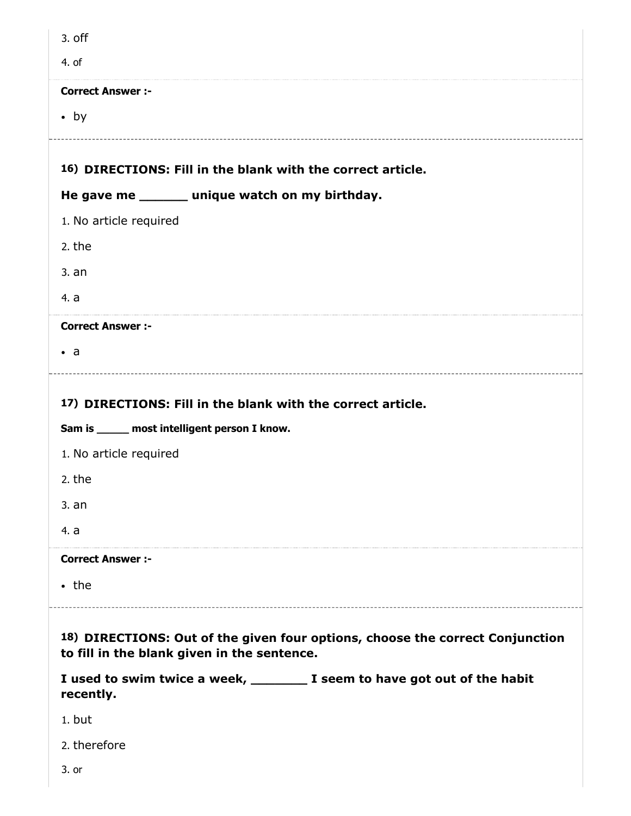| $3.$ off                                                                                                                     |
|------------------------------------------------------------------------------------------------------------------------------|
| 4. of                                                                                                                        |
| <b>Correct Answer :-</b>                                                                                                     |
| $\bullet$ by                                                                                                                 |
|                                                                                                                              |
| 16) DIRECTIONS: Fill in the blank with the correct article.                                                                  |
| He gave me ______ unique watch on my birthday.                                                                               |
| 1. No article required                                                                                                       |
| 2. the                                                                                                                       |
| 3. an                                                                                                                        |
| 4. a                                                                                                                         |
| <b>Correct Answer :-</b>                                                                                                     |
| $\bullet$ a                                                                                                                  |
|                                                                                                                              |
| 17) DIRECTIONS: Fill in the blank with the correct article.<br>Sam is _____ most intelligent person I know.                  |
| 1. No article required                                                                                                       |
| 2. the                                                                                                                       |
| 3. an                                                                                                                        |
| 4. a                                                                                                                         |
| <b>Correct Answer :-</b>                                                                                                     |
| $\cdot$ the                                                                                                                  |
| 18) DIRECTIONS: Out of the given four options, choose the correct Conjunction<br>to fill in the blank given in the sentence. |
| I used to swim twice a week, _________ I seem to have got out of the habit<br>recently.                                      |
| 1. but                                                                                                                       |
| 2. therefore                                                                                                                 |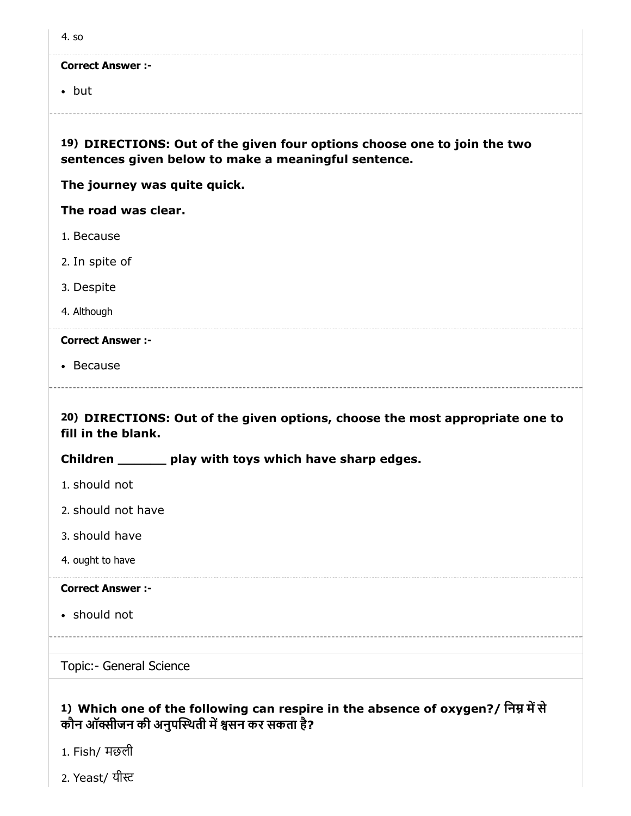| 4. so                                                                                                                            |
|----------------------------------------------------------------------------------------------------------------------------------|
| <b>Correct Answer :-</b>                                                                                                         |
| $\bullet$ but                                                                                                                    |
| 19) DIRECTIONS: Out of the given four options choose one to join the two<br>sentences given below to make a meaningful sentence. |
| The journey was quite quick.                                                                                                     |
| The road was clear.                                                                                                              |
| 1. Because                                                                                                                       |
| 2. In spite of                                                                                                                   |
| 3. Despite                                                                                                                       |
| 4. Although                                                                                                                      |
| <b>Correct Answer :-</b>                                                                                                         |
| • Because                                                                                                                        |
| 20) DIRECTIONS: Out of the given options, choose the most appropriate one to<br>fill in the blank.                               |
| Children ________ play with toys which have sharp edges.                                                                         |
| 1. should not                                                                                                                    |
| 2. should not have                                                                                                               |
| 3. should have                                                                                                                   |
| 4. ought to have                                                                                                                 |
| <b>Correct Answer :-</b>                                                                                                         |
| • should not                                                                                                                     |
|                                                                                                                                  |
| Topic:- General Science                                                                                                          |
|                                                                                                                                  |

## 1) Which one of the following can respire in the absence of oxygen?/ निम्न में से कौन ऑक्सीजन की अनुपस्थिती में श्वसन कर सकता है?

- 1. Fish/ मछली
- 2. Yeast/ यी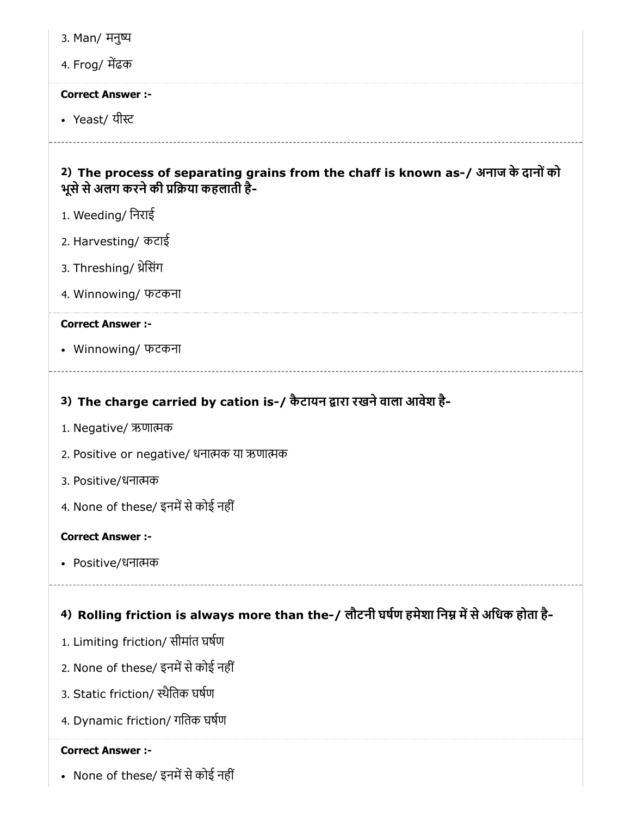3. Man/ मनु

## 4. Frog/ मढक

#### Correct Answer :-

• Yeast/ यीस्ट

## 2) The process of separating grains from the chaff is known as-/ अनाज के दानोंको भूसे से अलग करने की प्रक्रिया कहलाती है-

- 1. Weeding/ िनराई
- 2. Harvesting/ कटाई
- 3. Threshing/ थ्रेसिंग
- 4. Winnowing/ फटकना

#### Correct Answer :-

Winnowing/ फटकना

## 3) The charge carried by cation is-/ कैटायन द्वारा रखने वाला आवेश है-

- 1. Negative/ ऋणाक
- 2. Positive or negative/ धनाक या ऋणाक
- 3. Positive/धनाक
- 4. None of these/ इनमें से कोई नहीं

### Correct Answer :-

Positive/धनाक

## 4) Rolling friction is always more than the-/ लौटनी घर्षण हमेशा निम्न में से अधिक होता है-

- 1. Limiting friction/ सीमांत घषण
- 2. None of these/ इनमें से कोई नहीं
- 3. Static friction/ थैितक घषण
- 4. Dynamic friction/ गितक घषण

### Correct Answer :-

• None of these/ इनमें से कोई नहीं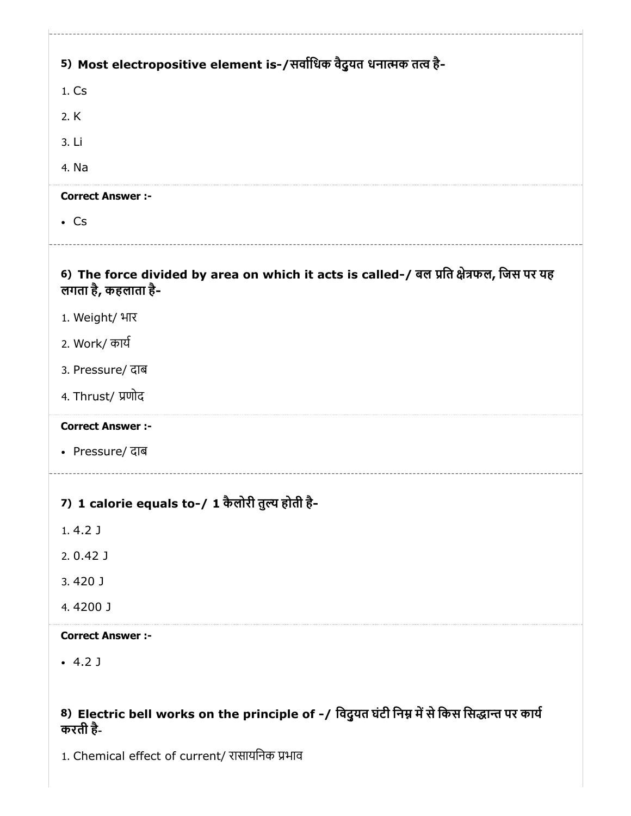| 5) Most electropositive element is-/सर्वाधिक वैदुयत धनात्मक तत्व है-                                           |
|----------------------------------------------------------------------------------------------------------------|
| 1. Cs                                                                                                          |
| 2. K                                                                                                           |
| 3. Li                                                                                                          |
| 4. Na                                                                                                          |
| <b>Correct Answer :-</b>                                                                                       |
| $\cdot$ Cs                                                                                                     |
| 6) The force divided by area on which it acts is called-/ बल प्रति क्षेत्रफल, जिस पर यह<br>लगता है, कहलाता है- |
| 1. Weight/ भार                                                                                                 |
| 2. Work/ कार्य                                                                                                 |
| 3. Pressure/ दाब                                                                                               |
| 4. Thrust/ प्रणोद                                                                                              |
| <b>Correct Answer :-</b>                                                                                       |
| • Pressure/ दाब                                                                                                |
| 7) 1 calorie equals to-/ 1 कैलोरी तुल्य होती है-                                                               |
| $1.4.2$ J                                                                                                      |
| $2.0.42$ J                                                                                                     |
| 3.420 J                                                                                                        |
| 4.4200 J                                                                                                       |
| <b>Correct Answer :-</b>                                                                                       |
| $-4.2$ J                                                                                                       |
|                                                                                                                |
| 8) Electric bell works on the principle of -/ विदुयत घंटी निम्न में से किस सिद्धान्त पर कार्य<br>करती है-      |
| 1. Chemical effect of current/ रासायनिक प्रभाव                                                                 |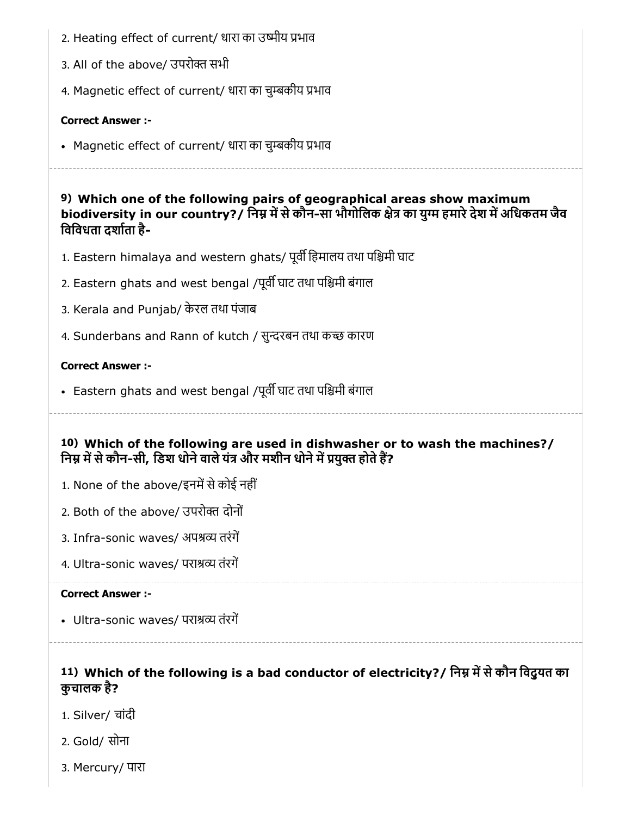- 2. Heating effect of current/ धारा का उष्मीय प्रभाव
- 3. All of the above/ उपरोक्त सभी
- 4. Magnetic effect of current/ धारा का चुकीय भाव

• Magnetic effect of current/ धारा का चुम्बकीय प्रभाव

9) Which one of the following pairs of geographical areas show maximum biodiversity in our country?/ निम्न में से कौन-सा भौगोलिक क्षेत्र का युग्म हमारे देश में अधिकतम जैव िविवधता दशाता है-

- 1. Eastern himalaya and western ghats/ पूर्वी हिमालय तथा पश्चिमी घाट
- 2. Eastern ghats and west bengal /पूर्वी घाट तथा पश्चिमी बंगाल
- 3. Kerala and Punjab/ केरल तथा पंजाब
- 4. Sunderbans and Rann of kutch / सुन्दरबन तथा कच्छ कारण

### Correct Answer :-

- Eastern ghats and west bengal /पूर्वी घाट तथा पश्चिमी बंगाल
- 10) Which of the following are used in dishwasher or to wash the machines?/ निम्न में से कौन-सी, डिश धोने वाले यंत्र और मशीन धोने में प्रयुक्त होते हैं?
- 1. None of the above/इनमें से कोई नहीं
- 2. Both of the above/ उपरोक्त दोनों
- 3. Infra-sonic waves/ अपश्रव्य तरंगें
- 4. Ultra-sonic waves/ पराश्रव्य तंरगें

### Correct Answer :-

- Ultra-sonic waves/ पराश्रव्य तंरगें
	-

## 11) Which of the following is a bad conductor of electricity?/ निम्न में से कौन विदुयत का कुचालक है?

- 1. Silver/ चांदी
- 2. Gold/ सोना
- 3. Mercury/ पारा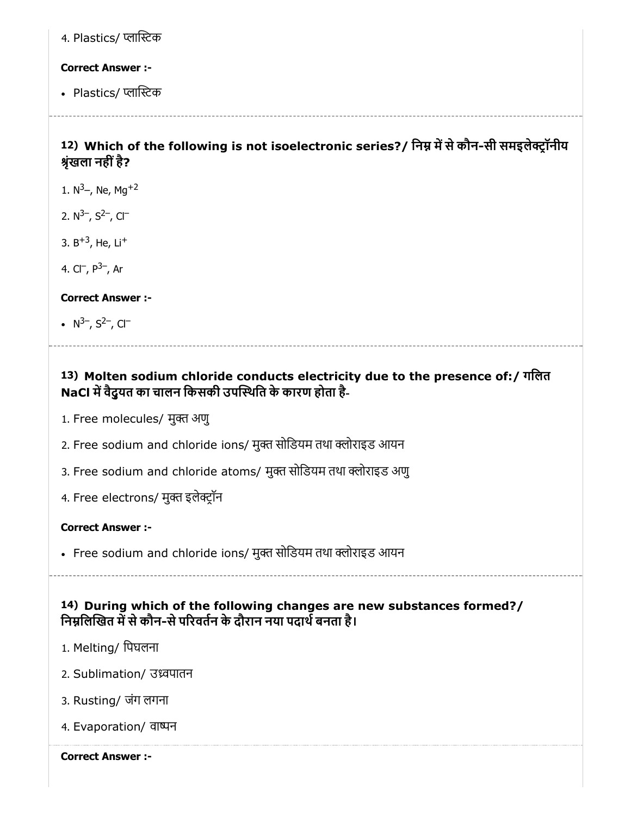4. Plastics/ प्लास्टिक

#### Correct Answer :-

• Plastics/ प्लास्टिक

## 12) Which of the following is not isoelectronic series?/ निम्न में से कौन-सी समइलेक्ट्रॉनीय श्रृंखला नहीं है?

- 1.  $N^3$ –, Ne, Mg<sup>+2</sup>
- 2.  $N^{3-}$ ,  $S^{2-}$ ,  $Cl^-$
- 3. B<sup>+3</sup>, He, Li<sup>+</sup>
- 4. Cl¯, P<sup>3−</sup>, Ar

Correct Answer :-

N<sup>3–</sup>, S<sup>2–</sup>, Cl<sup>–</sup>

## 13) Molten sodium chloride conducts electricity due to the presence of:/ गिलत NaCl में वैदुयत का चालन किसकी उपस्थिति के कारण होता है-

- 1. Free molecules/ मुक्त अणु
- 2. Free sodium and chloride ions/ मुक्त सोडियम तथा क्लोराइड आयन
- 3. Free sodium and chloride atoms/ मुक्त सोडियम तथा क्लोराइड अणु
- 4. Free electrons/ मुक्त इलेक्ट्रॉन

### Correct Answer :-

• Free sodium and chloride ions/ मुक्त सोडियम तथा क्लोराइड आयन

14) During which of the following changes are new substances formed?/ निम्नलिखित में से कौन-से परिवर्तन के दौरान नया पदार्थ बनता है।

- 1. Melting/ िपघलना
- 2. Sublimation/ उवपातन
- 3. Rusting/ जंग लगना
- 4. Evaporation/ वान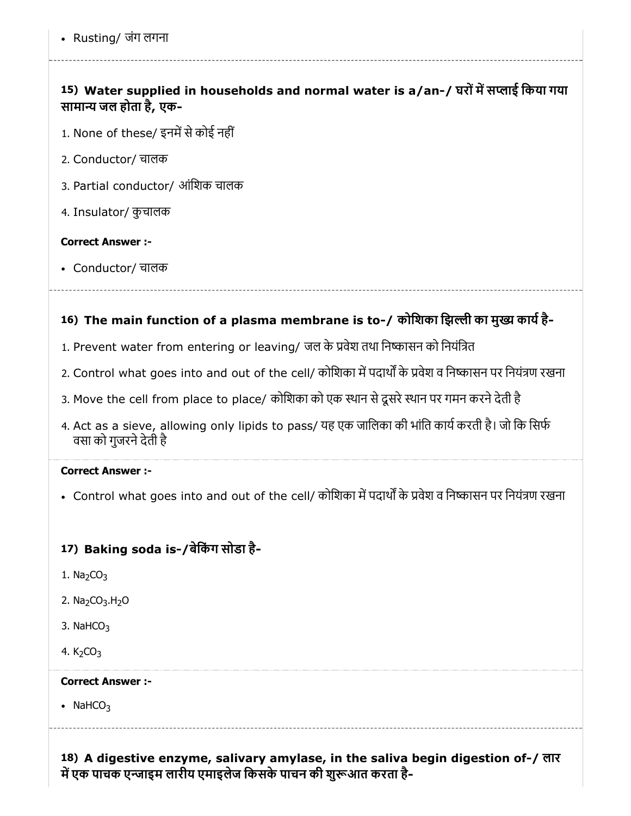# 15) Water supplied in households and normal water is a/an-/ घरों में सप्लाई किया गया सामान्य जल होता है, एक-

- 1. None of these/ इनमें से कोई नहीं
- 2. Conductor/ चालक
- 3. Partial conductor/ आंिशक चालक
- 4. Insulator/ कुचालक

## Correct Answer :-

Conductor/ चालक

# 16) The main function of a plasma membrane is to-/ कोशिका झिल्ली का मुख्य कार्य है-

- 1. Prevent water from entering or leaving/ जल के प्रवेश तथा निष्कासन को नियंत्रित
- 2. Control what goes into and out of the cell/ कोशिका में पदार्थों के प्रवेश व निष्कासन पर नियंत्रण रखना
- 3. Move the cell from place to place/ कोशिका को एक स्थान से दूसरे स्थान पर गमन करने देती है
- 4. Act as a sieve, allowing only lipids to pass/ यह एक जालिका की भांति कार्य करती है। जो कि सिर्फ वसा को गुजरनेदेती है

## Correct Answer :-

• Control what goes into and out of the cell/ कोशिका में पदार्थों के प्रवेश व निष्कासन पर नियंत्रण रखना

# 17) Baking soda is-/बेर्किंग सोडा है-

- 1.  $Na<sub>2</sub>CO<sub>3</sub>$
- 2. Na<sub>2</sub>CO<sub>3</sub>.H<sub>2</sub>O
- 3. NaH $CO<sub>3</sub>$
- 4.  $K_2CO_3$

# Correct Answer :-

• NaHCO<sub>3</sub>

18) A digestive enzyme, salivary amylase, in the saliva begin digestion of-/ लार में एक पाचक एन्जाइम लारीय एमाइलेज किसके पाचन की शुरूआत करता है-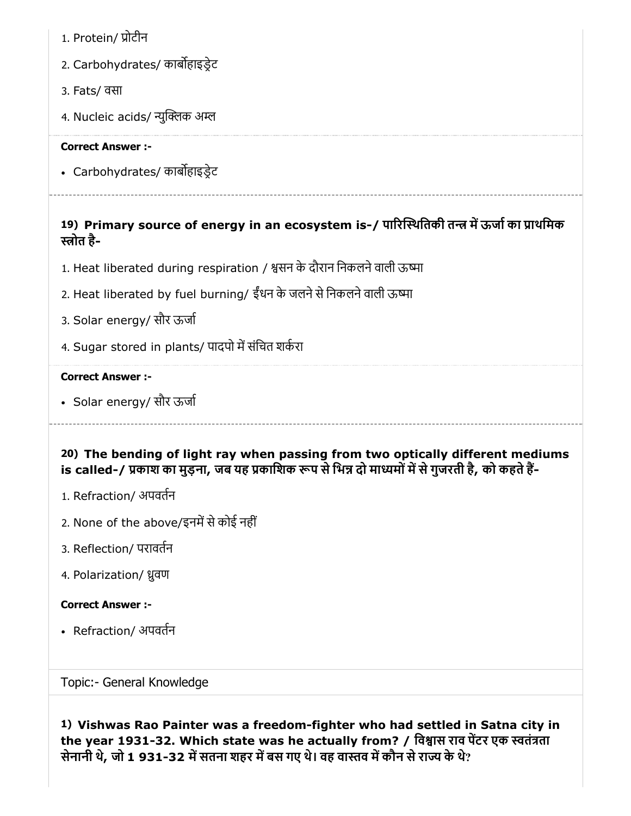- 1. Protein/ ोटीन
- 2. Carbohydrates/ काबहाइडेट
- 3. Fats/ वसा
- 4. Nucleic acids/ न्युक्लिक अम्ल

• Carbohydrates/ कार्बोहाइड्रेट

## 19) Primary source of energy in an ecosystem is-/ पारिस्थितिकी तन्त्र में ऊर्जा का प्राथमिक ोत है-

- 1. Heat liberated during respiration / श्वसन के दौरान निकलने वाली ऊष्मा
- 2. Heat liberated by fuel burning/ ईंधन के जलने से निकलने वाली ऊष्मा
- 3. Solar energy/ सौर ऊजा
- 4. Sugar stored in plants/ पादपो में संचित शर्करा

#### Correct Answer :-

• Solar energy/ सौर ऊर्जा

20) The bending of light ray when passing from two optically different mediums is called-/ प्रकाश का मुड़ना, जब यह प्रकाशिक रूप से भिन्न दो माध्यमों में से गुजरती है, को कहते हैं-

- 1. Refraction/ अपवतन
- 2. None of the above/इनमें से कोई नहीं
- 3. Reflection/ परावतन
- 4. Polarization/ ुवण

### Correct Answer :-

• Refraction/ अपवर्तन

Topic:- General Knowledge

1) Vishwas Rao Painter was a freedom-fighter who had settled in Satna city in the year 1931-32. Which state was he actually from? / विश्वास राव पेंटर एक स्वतंत्रता सेनानी थे, जो 1 931-32 में सतना शहर में बस गए थे। वह वास्तव में कौन से राज्य के थे?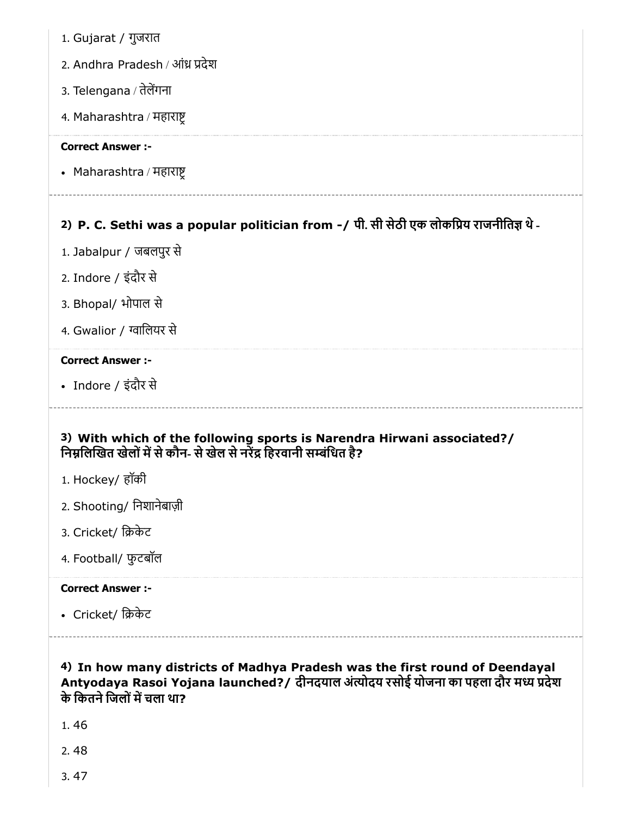- 1. Gujarat / गुजरात
- 2. Andhra Pradesh / आंध्र प्रदेश
- 3. Telengana / तेलेंगना
- 4. Maharashtra / महारा

• Maharashtra / महाराष्ट

## 2) P. C. Sethi was a popular politician from -/ पी. सी सेठी एक लोकिय राजनीित थे-

- 1. Jabalpur / जबलपुर से
- 2. Indore / इंदौर से
- 3. Bhopal/ भोपाल से
- 4. Gwalior / ग्वालियर से

#### Correct Answer :-

Indore / इंदौर से

## 3) With which of the following sports is Narendra Hirwani associated?/ निम्रलिखित खेलों में से कौन- से खेल से नरेंद्र हिरवानी सम्बंधित है?

- 1. Hockey/ हॉकी
- 2. Shooting/ िनशानेबाज़ी
- 3. Cricket/ िकेट
- 4. Football/ फुटबॉल

### Correct Answer :-

• Cricket/ क्रिकेट

### 4) In how many districts of Madhya Pradesh was the first round of Deendayal Antyodaya Rasoi Yojana launched?/ दीनदयाल अंत्योदय रसोई योजना का पहला दौर मध्य प्रदेश के कितने जिलों में चला था?

- 1. 46
- 2. 48
- 3. 47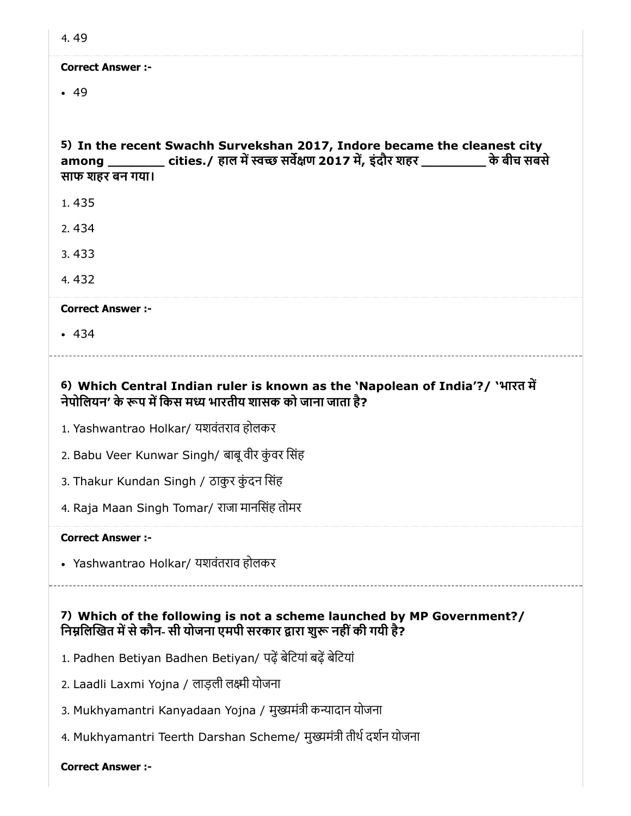| 4.49                                                                                                                                                                                          |
|-----------------------------------------------------------------------------------------------------------------------------------------------------------------------------------------------|
| <b>Correct Answer:-</b>                                                                                                                                                                       |
| .49                                                                                                                                                                                           |
|                                                                                                                                                                                               |
| 5) In the recent Swachh Survekshan 2017, Indore became the cleanest city<br>among _________ cities./ हाल में स्वच्छ सर्वेक्षण 2017 में, इंदौर शहर ____________ के बीच सबसे<br>साफ शहर बन गया। |
| 1.435                                                                                                                                                                                         |
| 2.434                                                                                                                                                                                         |
| 3.433                                                                                                                                                                                         |
| 4.432                                                                                                                                                                                         |
| <b>Correct Answer :-</b>                                                                                                                                                                      |
| .434                                                                                                                                                                                          |
|                                                                                                                                                                                               |
| 6) Which Central Indian ruler is known as the 'Napolean of India'?/ 'भारत में<br>नेपोलियन' के रूप में किस मध्य भारतीय शासक को जाना जाता है?                                                   |
| 1. Yashwantrao Holkar/ यशवंतराव होलकर                                                                                                                                                         |
| 2. Babu Veer Kunwar Singh/ बाबू वीर कुंवर सिंह                                                                                                                                                |
| 3. Thakur Kundan Singh / ठाकुर कुंदन सिंह                                                                                                                                                     |
| 4. Raja Maan Singh Tomar/ राजा मानसिंह तोमर                                                                                                                                                   |
| <b>Correct Answer :-</b>                                                                                                                                                                      |
|                                                                                                                                                                                               |
| • Yashwantrao Holkar/ यशवंतराव होलकर                                                                                                                                                          |
|                                                                                                                                                                                               |
| 7) Which of the following is not a scheme launched by MP Government?/<br>निम्नलिखित में से कौन- सी योजना एमपी सरकार द्वारा शुरू नहीं की गयी है?                                               |
| 1. Padhen Betiyan Badhen Betiyan/ पढ़ें बेटियां बढ़ें बेटियां                                                                                                                                 |
| 2. Laadli Laxmi Yojna / लाड़ली लक्ष्मी योजना                                                                                                                                                  |
| 3. Mukhyamantri Kanyadaan Yojna / मुख्यमंत्री कन्यादान योजना                                                                                                                                  |
| 4. Mukhyamantri Teerth Darshan Scheme/ मुख्यमंत्री तीर्थ दर्शन योजना                                                                                                                          |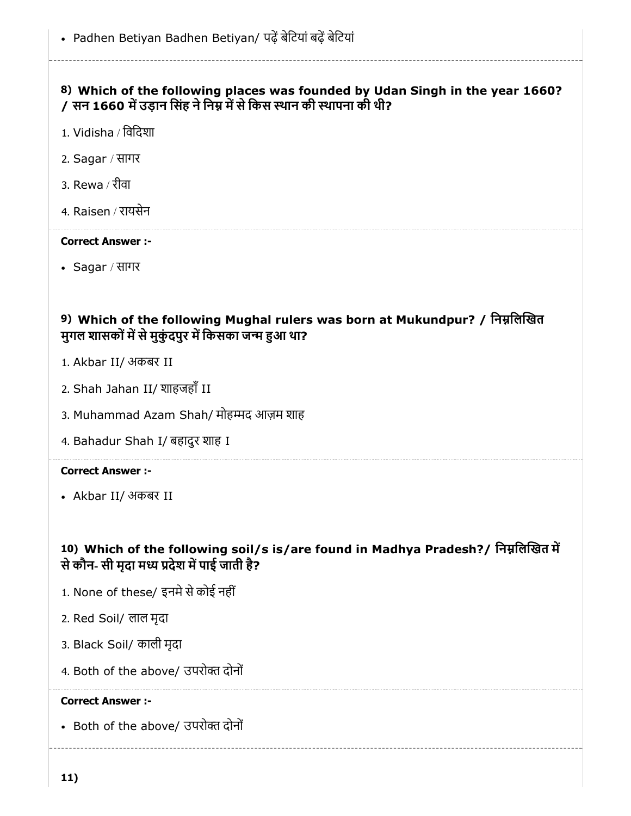## 8) Which of the following places was founded by Udan Singh in the year 1660? / सन 1660 में उड़ान सिंह ने निम्न में से किस स्थान की स्थापना की थी?

- 1. Vidisha / िविदशा
- 2. Sagar / सागर
- 3. Rewa / रीवा
- 4. Raisen / रायसेन

#### Correct Answer :-

Sagar / सागर

## 9) Which of the following Mughal rulers was born at Mukundpur? / निम्नलिखित मुगल शासकों में से मुकुंदपुर में किसका जन्म हुआ था?

- 1. Akbar II/ अकबर II
- 2. Shah Jahan II/ शाहजहाँ II
- 3. Muhammad Azam Shah/ मोहम्मद आज़म शाह
- 4. Bahadur Shah I/ बहादुर शाह I

#### Correct Answer :-

Akbar II/ अकबर II

## 10) Which of the following soil/s is/are found in Madhya Pradesh?/ निम्नलिखित में से कौन- सी मृदा मध्य प्रदेश में पाई जाती है?

- 1. None of these/ इनमे से कोई नहीं
- 2. Red Soil/ लाल मृदा
- 3. Black Soil/ काली मृदा
- 4. Both of the above/ उपरोक्त दोनों

#### Correct Answer :-

• Both of the above/ उपरोक्त दोनों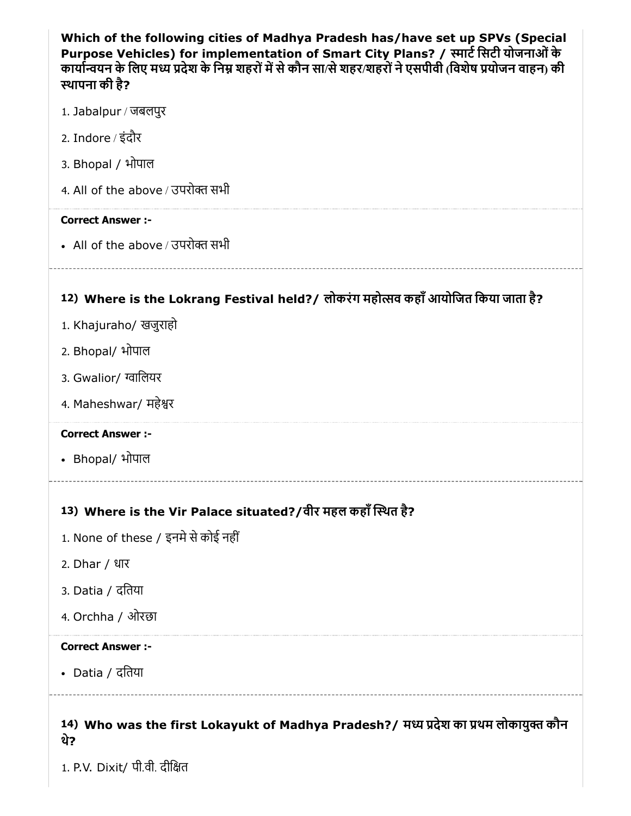| Which of the following cities of Madhya Pradesh has/have set up SPVs (Special<br>Purpose Vehicles) for implementation of Smart City Plans? / स्मार्ट सिटी योजनाओं के<br>कार्यान्वयन के लिए मध्य प्रदेश के निम्न शहरों में से कौन सा/से शहर/शहरों ने एसपीवी (विशेष प्रयोजन वाहन) की<br>स्थापना की है? |
|------------------------------------------------------------------------------------------------------------------------------------------------------------------------------------------------------------------------------------------------------------------------------------------------------|
| 1. Jabalpur / जबलपुर                                                                                                                                                                                                                                                                                 |
| 2. Indore / इंदौर                                                                                                                                                                                                                                                                                    |
| 3. Bhopal / भोपाल                                                                                                                                                                                                                                                                                    |
| 4. All of the above / उपरोक्त सभी                                                                                                                                                                                                                                                                    |
| <b>Correct Answer :-</b>                                                                                                                                                                                                                                                                             |
| • All of the above / उपरोक्त सभी                                                                                                                                                                                                                                                                     |
| 12) Where is the Lokrang Festival held? / लोकरंग महोत्सव कहाँ आयोजित किया जाता है?                                                                                                                                                                                                                   |
| 1. Khajuraho/ खजुराहो                                                                                                                                                                                                                                                                                |
| 2. Bhopal/ भोपाल                                                                                                                                                                                                                                                                                     |
| 3. Gwalior/ ग्वालियर                                                                                                                                                                                                                                                                                 |
| 4. Maheshwar/ महेश्वर                                                                                                                                                                                                                                                                                |
| <b>Correct Answer :-</b>                                                                                                                                                                                                                                                                             |
| • Bhopal/ भोपाल                                                                                                                                                                                                                                                                                      |
| 13) Where is the Vir Palace situated?/वीर महल कहाँ स्थित है?                                                                                                                                                                                                                                         |
| 1. None of these / इनमे से कोई नहीं                                                                                                                                                                                                                                                                  |
| 2. Dhar / धार                                                                                                                                                                                                                                                                                        |
| 3. Datia / दतिया                                                                                                                                                                                                                                                                                     |
| 4. Orchha / ओरछा                                                                                                                                                                                                                                                                                     |
| <b>Correct Answer :-</b>                                                                                                                                                                                                                                                                             |
| • Datia / दतिया                                                                                                                                                                                                                                                                                      |
|                                                                                                                                                                                                                                                                                                      |

1. P.V. Dixit/ पी.वी. दीित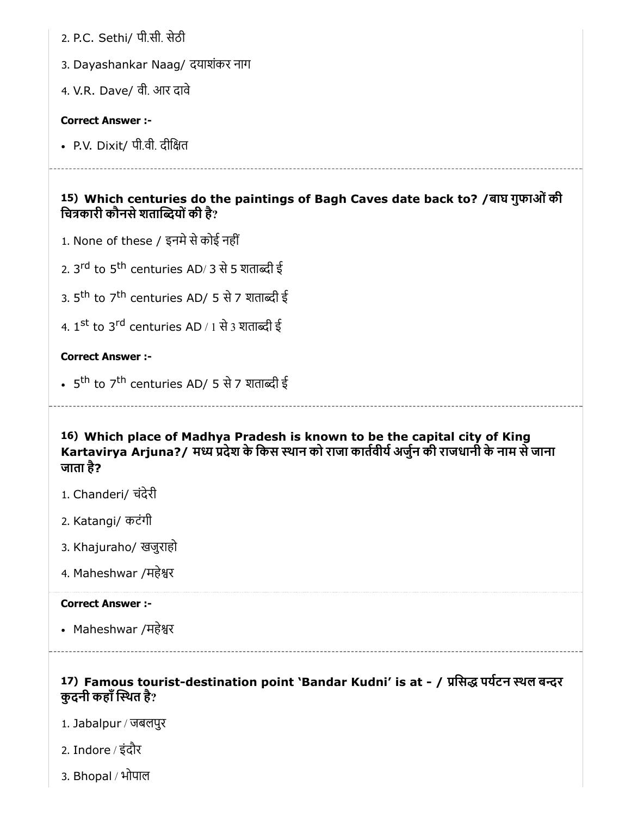2. P.C. Sethi/ पी.सी. सेठी

3. Dayashankar Naag/ दयाशंकर नाग

4. V.R. Dave/ वी. आर दावे

#### Correct Answer :-

• P.V. Dixit/ पी.वी. दीक्षित

15) Which centuries do the paintings of Bagh Caves date back to? /बाघ गुफाओंकी चित्रकारी कौनसे शताब्दियों की है?

- 1. None of these / इनमे से कोई नहीं
- 2. 3<sup>rd</sup> to 5<sup>th</sup> centuries AD/ 3 से 5 शताब्दी ई
- 3. 5<sup>th</sup> to 7<sup>th</sup> centuries AD/ 5 से 7 शताब्दी ई
- 4. 1<sup>st</sup> to 3<sup>rd</sup> centuries AD / 1 से 3 शताब्दी ई

### Correct Answer :-

5<sup>th</sup> to 7<sup>th</sup> centuries AD/ 5 से 7 शताब्दी ई

16) Which place of Madhya Pradesh is known to be the capital city of King Kartavirya Arjuna?/ मध्य प्रदेश के किस स्थान को राजा कार्तवीर्य अर्जुन की राजधानी के नाम से जाना जाता है?

- 1. Chanderi/ चंदेरी
- 2. Katangi/ कटंगी
- 3. Khajuraho/ खजुराहो
- 4. Maheshwar /महेर

#### Correct Answer :-

• Maheshwar /महेश्वर

## 17) Famous tourist-destination point 'Bandar Kudni' is at - / प्रसिद्ध पर्यटन स्थल बन्दर कुदनी कहाँ स्थित है?

- 1. Jabalpur / जबलपुर
- 2. Indore / इंदौर
- 3. Bhopal / भोपाल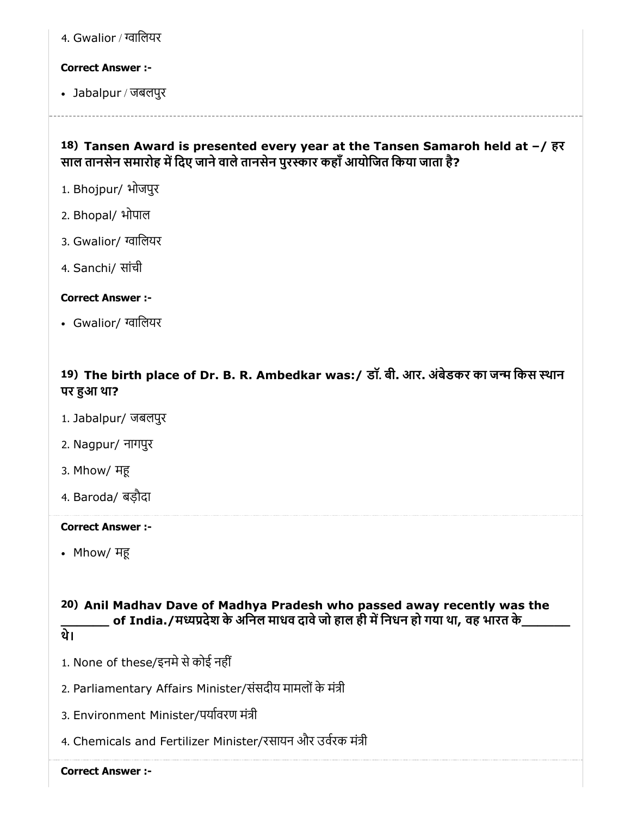| 4. Gwalior / ग्वालियर |  |  |
|-----------------------|--|--|
|                       |  |  |

Jabalpur / जबलपुर

## 18) Tansen Award is presented every year at the Tansen Samaroh held at –/ हर साल तानसेन समारोह में दिए जाने वाले तानसेन पुरस्कार कहाँ आयोजित किया जाता है?

- 1. Bhojpur/ भोजपुर
- 2. Bhopal/ भोपाल
- 3. Gwalior/ ग्वालियर
- 4. Sanchi/ सांची

## Correct Answer :-

• Gwalior/ ग्वालियर

## 19) The birth place of Dr. B. R. Ambedkar was:/ डाॅ. बी. आर. अंबेडकर का जन्म किस स्थान पर हुआ था?

- 1. Jabalpur/ जबलपुर
- 2. Nagpur/ नागपुर
- 3. Mhow/ म
- 4. Baroda/ बड़ौदा

#### Correct Answer :-

• Mhow/ मह

## 20) Anil Madhav Dave of Madhya Pradesh who passed away recently was the \_ of India./मध्यप्रदेश के अनिल माधव दावे जो हाल ही में निधन हो गया था, वह भारत के\_

- थे।
- 1. None of these/इनमे से कोई नहीं
- 2. Parliamentary Affairs Minister/संसदीय मामलों के मंत्री
- 3. Environment Minister/पयावरण मंी
- 4. Chemicals and Fertilizer Minister/रसायन और उर्वरक मंत्री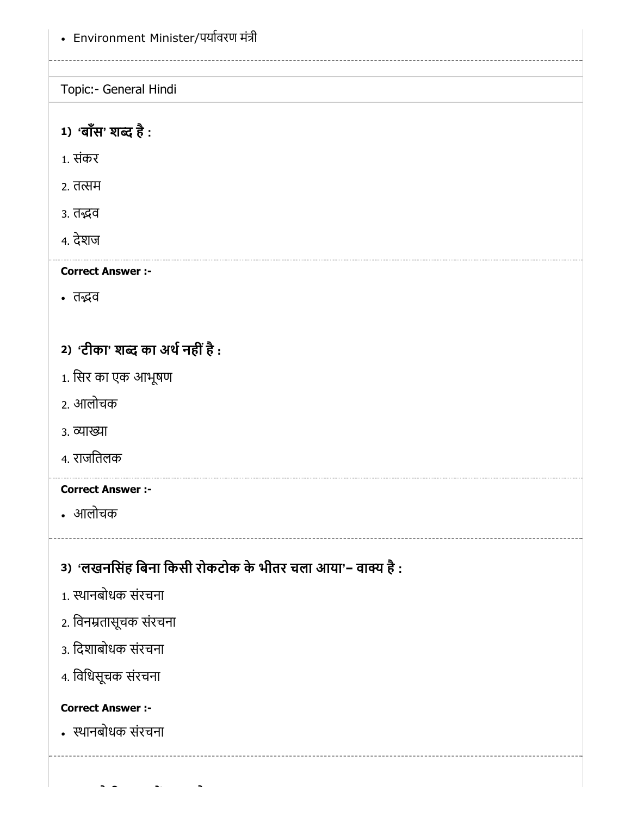Environment Minister/पयावरण मंी

Topic:- General Hindi

1) 'बॉस' शब्द है :

1. संकर

2. तत्सम

3. तद्भव

4. देशज

Correct Answer :-

• तद्भव

# 2) 'टीका' शब्द का अर्थ नहीं है :

- 1. िसर का एक आभूषण
- 2. आलोचक
- 3. व्याख्या
- 4. राजितलक

## Correct Answer :-

आलोचक

3) 'लखनसिंह बिना किसी रोकटोक के भीतर चला आया'− वाक्य है :

- 1. थानबोधक संरचना
- 2. िवनतासूचक संरचना
- 3. िदशाबोधक संरचना
- 4. िविधसूचक संरचना

## Correct Answer :-

थानबोधक संरचना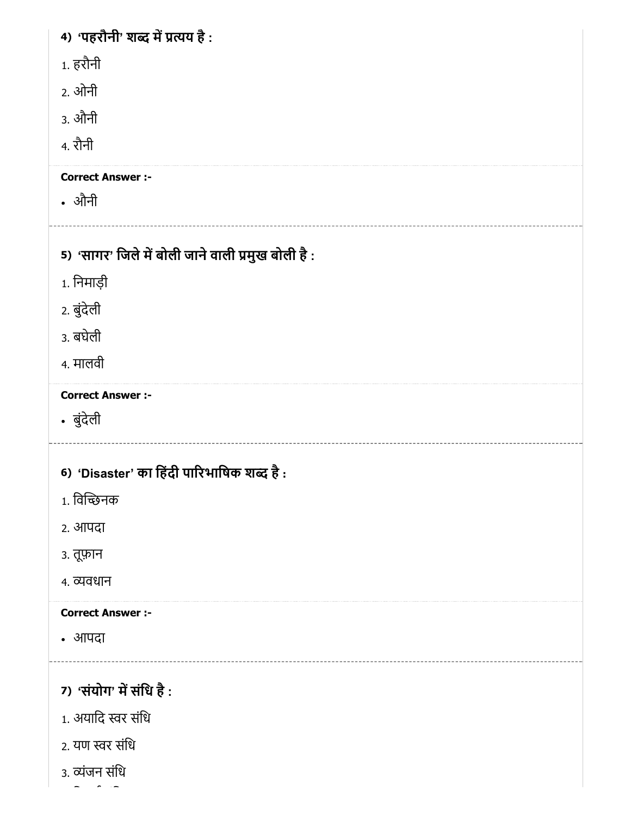| 4) 'पहरौनी' शब्द में प्रत्यय है:                  |
|---------------------------------------------------|
| 1. हरौनी                                          |
| 2. ओनी                                            |
| 3. औनी                                            |
| 4. रौनी                                           |
| <b>Correct Answer :-</b>                          |
| • औनी                                             |
| 5) 'सागर' जिले में बोली जाने वाली प्रमुख बोली है: |
| 1. निमाड़ी                                        |
| 2. बुंदेली                                        |
| 3. बघेली                                          |
| 4. मालवी                                          |
|                                                   |
| <b>Correct Answer :-</b><br>• बुंदेली             |
|                                                   |
| 6) 'Disaster' का हिंदी पारिभाषिक शब्द है:         |
| 1. विच्छिनक                                       |
| २. आपदा                                           |
| ३. तूफ़ान                                         |
| ४. व्यवधान                                        |
| <b>Correct Answer :-</b>                          |
| • आपदा                                            |
|                                                   |
|                                                   |
| 7) 'संयोग' में संधि है:                           |
| 1. अयादि स्वर संधि<br>2. यण स्वर संधि             |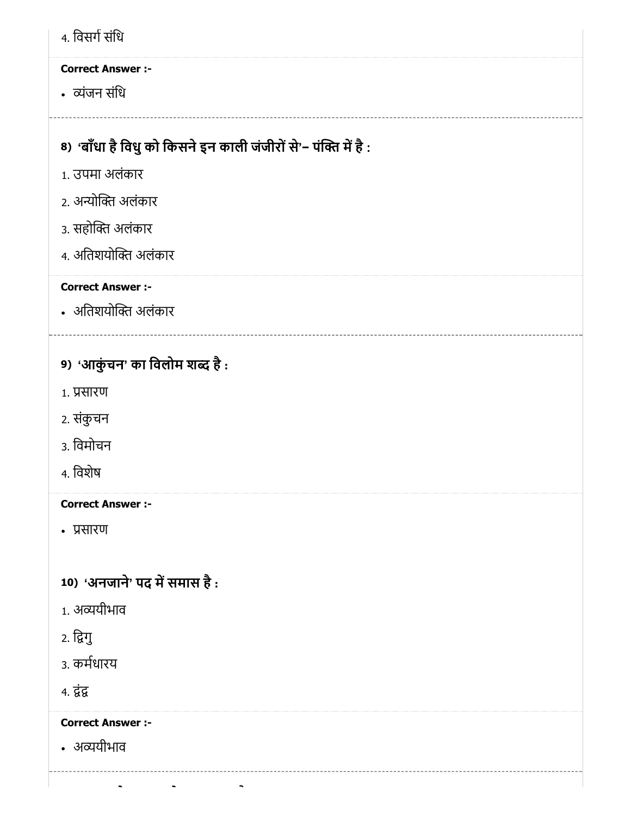| 4. विसर्ग संधि                                                                    |
|-----------------------------------------------------------------------------------|
| <b>Correct Answer :-</b>                                                          |
| • व्यंजन संधि                                                                     |
|                                                                                   |
| 8) 'बाँधा है विधु को किसने इन काली जंजीरों से'– पंक्ति में है :<br>1. उपमा अलंकार |
|                                                                                   |
| 2. अन्योक्ति अलंकार                                                               |
| ३. सहोक्ति अलंकार                                                                 |
| ४. अतिशयोक्ति अलंकार                                                              |
| <b>Correct Answer :-</b>                                                          |
| • अतिशयोक्ति अलंकार                                                               |
| 9) 'आकुंचन' का विलोम शब्द है:                                                     |
| 1. प्रसारण                                                                        |
| 2. संकुचन                                                                         |
| 3. विमोचन                                                                         |
| 4. विशेष                                                                          |
| <b>Correct Answer :-</b>                                                          |
| • प्रसारण                                                                         |
|                                                                                   |
| 10) 'अनजाने' पद में समास है:                                                      |
| 1. अव्ययीभाव                                                                      |
| 2. द्विगु                                                                         |
| 3. कर्मधारय                                                                       |
| 4. द्वंद्व                                                                        |
| <b>Correct Answer :-</b>                                                          |
| • अव्ययीभाव                                                                       |
|                                                                                   |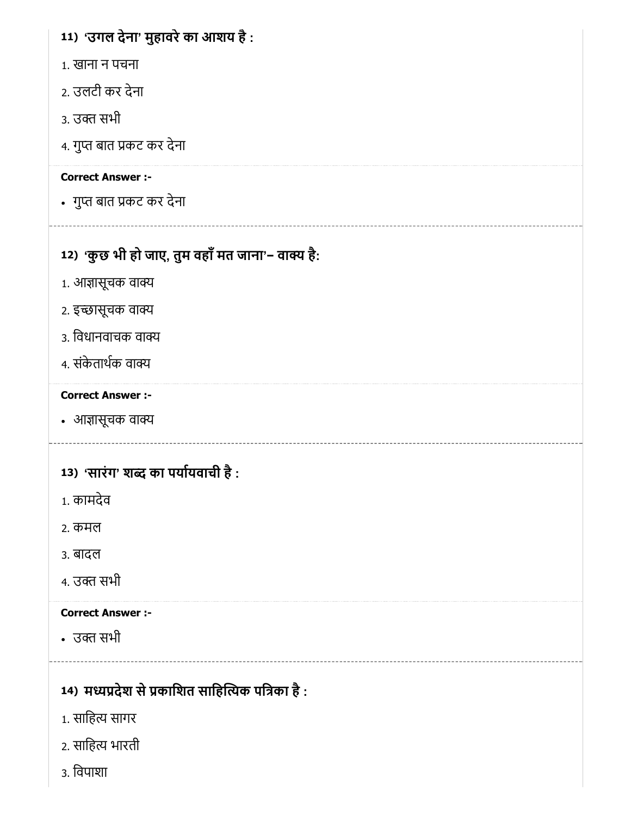# 11) 'उगल देना' मुहावरेका आशय है :

- 1. खाना न पचना
- 2. उलटी कर देना
- 3. उक्त सभी
- 4. गुप्त बात प्रकट कर देना

## Correct Answer :-

• गुप्त बात प्रकट कर देना

# 12) 'कुछ भी हो जाए, तुम वहाँ मत जाना'− वाक्य है:

- 1. आज्ञासूचक वाक्य
- 2. इच्छासूचक वाक्य
- 3. विधानवाचक वाक्य
- 4. संकेताथक वा

## Correct Answer :-

• आज्ञासूचक वाक्य

# 13) 'सारंग' शब्द का पर्यायवाची है :

- 1. कामदेव
- 2. कमल
- 3. बादल
- 4. उक्त सभी

## Correct Answer :-

• उक्त सभी

# 14) मध्यप्रदेश से प्रकाशित साहित्यिक पत्रिका है :

- 1. साहित्य सागर
- 2. सािह भारती
- 3. िवपाशा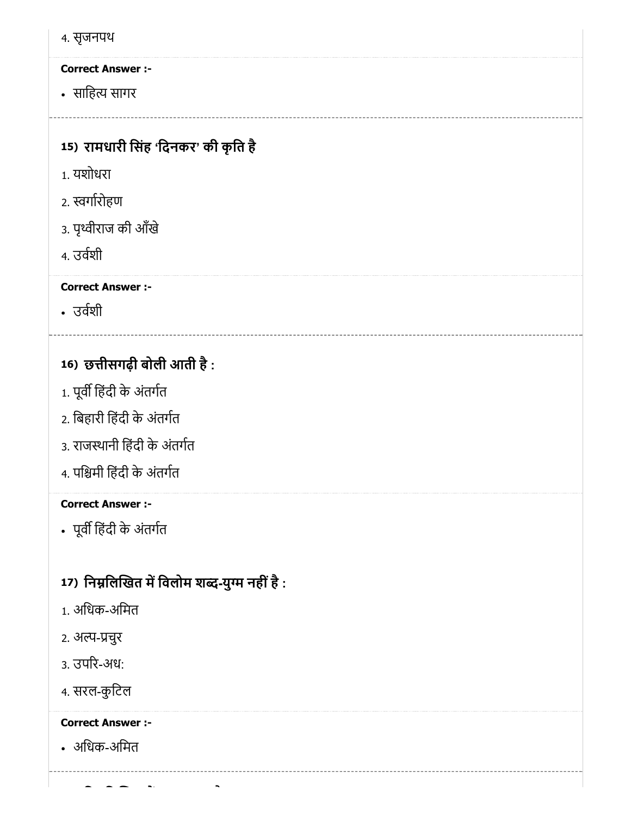4. सृजनपथ

# Correct Answer :-

सािह सागर

# 15) रामधारी सिंह 'दिनकर' की कृति है

- 1. यशोधरा
- 2. स्वर्गारोहण
- 3. पृथ्वीराज की आँखे
- 4. उवशी

## Correct Answer :-

उवशी

# 16) छीसगढ़ी बोली आती है :

- 1. पूर्वी हिंदी के अंतर्गत
- 2. िबहारी िहंदी के अंतगत
- 3. राजथानी िहंदी के अंतगत
- 4. पिमी िहंदी के अंतगत

## Correct Answer :-

• पूर्वी हिंदी के अंतर्गत

# 17) निम्नलिखित में विलोम शब्द-युग्म नहीं है :

- 1. अिधक-अिमत
- 2. अल्प-प्रचुर
- 3. उपर-अध:
- 4. सरल-कुटिल

# Correct Answer :-

अिधक-अिमत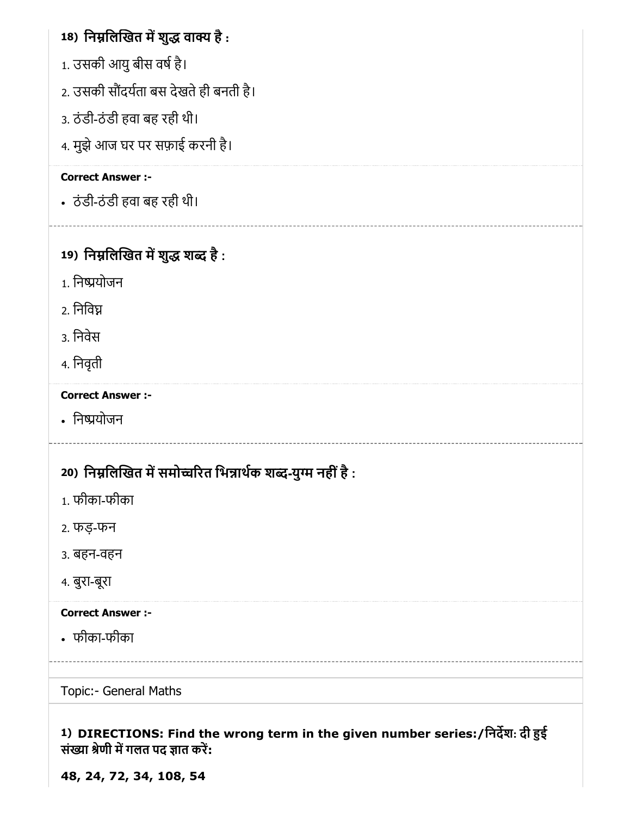# 18) निम्नलिखित में शुद्ध वाक्य है :

- 1. उसकी आयु बीस वर्ष है।
- 2. उसकी सौंदर्यता बस देखते ही बनती है।
- 3. ठंडी-ठंडी हवा बह रही थी।
- 4. मुझे आज घर पर सफ़ाई करनी है।

## Correct Answer :-

ठंडी-ठंडी हवा बह रही थी।

# 19) निम्नलिखित में शुद्ध शब्द है :

- 1. िनयोजन
- 2. िनिव
- 3. िनवेस
- 4. िनवृती

## Correct Answer :-

• निष्प्रयोजन

# 20) निम्नलिखित में समोच्चरित भिन्नार्थक शब्द-युग्म नहीं है :

- 1. फीका-फीका
- 2. फड़-फन
- 3. बहन-वहन
- 4. बुरा-बूरा

## Correct Answer :-

फीका-फीका

Topic:- General Maths

1) DIRECTIONS: Find the wrong term in the given number series:/िनदश: दी ई संख्या श्रेणी में गलत पद ज्ञात करें:

48, 24, 72, 34, 108, 54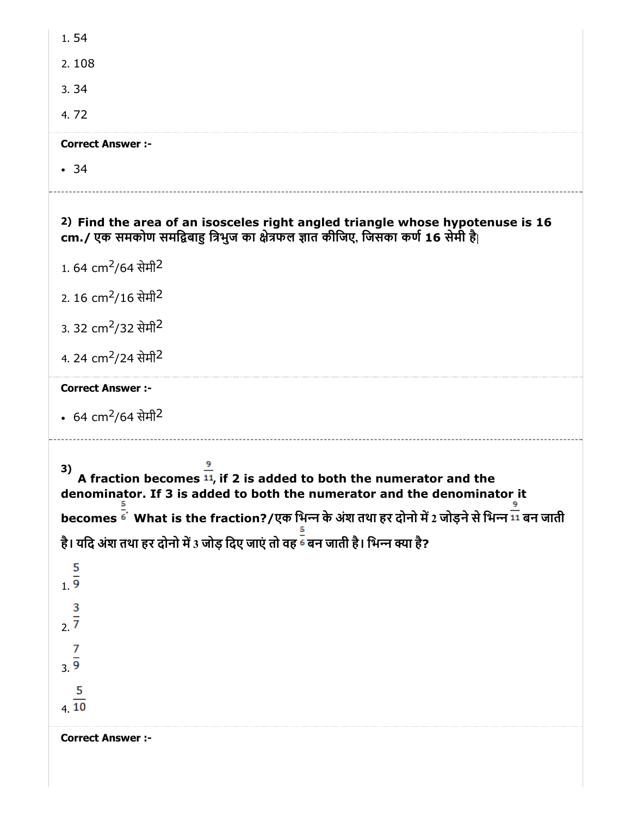| 1.54                                                                                                                                                                                                                                                                                                                                                                             |
|----------------------------------------------------------------------------------------------------------------------------------------------------------------------------------------------------------------------------------------------------------------------------------------------------------------------------------------------------------------------------------|
| 2.108                                                                                                                                                                                                                                                                                                                                                                            |
| 3.34                                                                                                                                                                                                                                                                                                                                                                             |
| 4.72                                                                                                                                                                                                                                                                                                                                                                             |
| <b>Correct Answer :-</b>                                                                                                                                                                                                                                                                                                                                                         |
| .34                                                                                                                                                                                                                                                                                                                                                                              |
| 2) Find the area of an isosceles right angled triangle whose hypotenuse is 16<br>cm./ एक समकोण समद्विबाहु त्रिभुज का क्षेत्रफल ज्ञात कीजिए, जिसका कर्ण 16 सेमी है                                                                                                                                                                                                                |
| 1.64 cm <sup>2</sup> /64 सेमी <sup>2</sup>                                                                                                                                                                                                                                                                                                                                       |
| 2. 16 cm <sup>2</sup> /16 सेमी <sup>2</sup>                                                                                                                                                                                                                                                                                                                                      |
| 3. 32 cm <sup>2</sup> /32 सेमी <sup>2</sup>                                                                                                                                                                                                                                                                                                                                      |
| 4. 24 cm <sup>2</sup> /24 सेमी <sup>2</sup>                                                                                                                                                                                                                                                                                                                                      |
| <b>Correct Answer :-</b>                                                                                                                                                                                                                                                                                                                                                         |
| • 64 cm <sup>2</sup> /64 सेमी <sup>2</sup>                                                                                                                                                                                                                                                                                                                                       |
| 3)<br>A fraction becomes $11$ , if 2 is added to both the numerator and the<br>denominator. If 3 is added to both the numerator and the denominator it<br>becomes <sup>द्व</sup> े What is the fraction?/एक भिन्न के अंश तथा हर दोनो में 2 जोड़ने से भिन्न <sup>11</sup> बन जाती<br>है। यदि अंश तथा हर दोनो में 3 जोड़ दिए जाएं तो वह <sup>द्वं</sup> बन जाती है। भिन्न क्या है? |
| $\frac{5}{1.9}$                                                                                                                                                                                                                                                                                                                                                                  |
| $\frac{3}{2}$                                                                                                                                                                                                                                                                                                                                                                    |
| $\frac{7}{3 \cdot 9}$                                                                                                                                                                                                                                                                                                                                                            |
|                                                                                                                                                                                                                                                                                                                                                                                  |
| $\frac{5}{4 \cdot 10}$                                                                                                                                                                                                                                                                                                                                                           |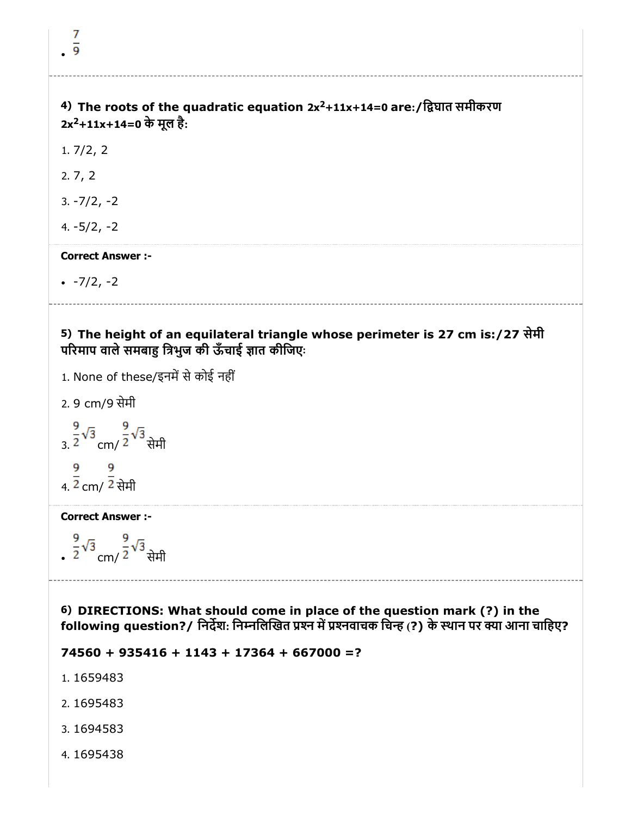| 4) The roots of the quadratic equation 2x <sup>2</sup> +11x+14=0 are:/द्विघात समीकरण<br>2x <sup>2</sup> +11x+14=0 के मूल है: |  |
|------------------------------------------------------------------------------------------------------------------------------|--|

1. 7/2, 2

2. 7, 2

3. -7/2, -2

4. -5/2, -2

### Correct Answer :-

 $-7/2, -2$ 

5) The height of an equilateral triangle whose perimeter is 27 cm is:/27 सेमी परिमाप वाले समबाहु त्रिभुज की ऊँचाई ज्ञात कीजिएः

- 1. None of these/इनमें से कोई नहीं
- 2. 9 cm/9 सेमी

 $\frac{9}{3.}$  $\frac{2}{2}\sqrt{3}$  cm/  $\frac{9}{2}\sqrt{3}$  सेमी  $\frac{9}{4.2}$  cm/  $\frac{9}{2}$  सेमी

#### Correct Answer :-

,  $\frac{9}{2}\sqrt{3}$  cm/  $\frac{9}{2}\sqrt{3}$  सेमी

6) DIRECTIONS: What should come in place of the question mark (?) in the following question?/ निर्देश: निम्नलिखित प्रश्न में प्रश्नवाचक चिन्ह (?) के स्थान पर क्या आना चाहिए?

 $74560 + 935416 + 1143 + 17364 + 667000 = ?$ 

- 1. 1659483
- 2. 1695483
- 3. 1694583
- 4. 1695438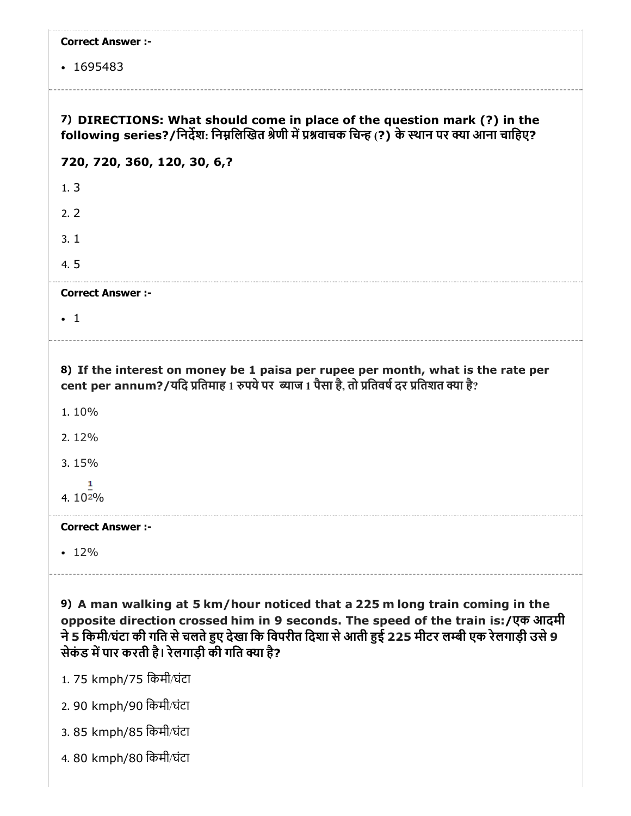| <b>Correct Answer :-</b>                                                                                                                                                                                                                                                                                               |
|------------------------------------------------------------------------------------------------------------------------------------------------------------------------------------------------------------------------------------------------------------------------------------------------------------------------|
| $\cdot$ 1695483                                                                                                                                                                                                                                                                                                        |
|                                                                                                                                                                                                                                                                                                                        |
| 7) DIRECTIONS: What should come in place of the question mark (?) in the<br>following series?/निर्देश: निम्नलिखित श्रेणी में प्रश्नवाचक चिन्ह (?) के स्थान पर क्या आना चाहिए?                                                                                                                                          |
| 720, 720, 360, 120, 30, 6,?                                                                                                                                                                                                                                                                                            |
| 1.3                                                                                                                                                                                                                                                                                                                    |
| 2.2                                                                                                                                                                                                                                                                                                                    |
| 3.1                                                                                                                                                                                                                                                                                                                    |
| 4.5                                                                                                                                                                                                                                                                                                                    |
| <b>Correct Answer :-</b>                                                                                                                                                                                                                                                                                               |
| $\cdot$ 1                                                                                                                                                                                                                                                                                                              |
| 8) If the interest on money be 1 paisa per rupee per month, what is the rate per<br>cent per annum?/यदि प्रतिमाह 1 रुपये पर  ब्याज 1 पैसा है, तो प्रतिवर्ष दर प्रतिशत क्या है?<br>1.10%                                                                                                                                |
| 2.12%                                                                                                                                                                                                                                                                                                                  |
| 3.15%                                                                                                                                                                                                                                                                                                                  |
| 1<br>4.102%                                                                                                                                                                                                                                                                                                            |
| <b>Correct Answer :-</b>                                                                                                                                                                                                                                                                                               |
| $\cdot$ 12%                                                                                                                                                                                                                                                                                                            |
| 9) A man walking at 5 km/hour noticed that a 225 m long train coming in the<br>opposite direction crossed him in 9 seconds. The speed of the train is:/एक आदमी<br>ने 5 किमी/घंटा की गति से चलते हुए देखा कि विपरीत दिशा से आती हुई 225 मीटर लम्बी एक रेलगाड़ी उसे 9<br>सेकंड में पार करती है। रेलगाड़ी की गति क्या है? |

- 1. 75 kmph/75 िकमी/घंटा
- 2. 90 kmph/90 िकमी/घंटा
- 3. 85 kmph/85 िकमी/घंटा
- 4. 80 kmph/80 िकमी/घंटा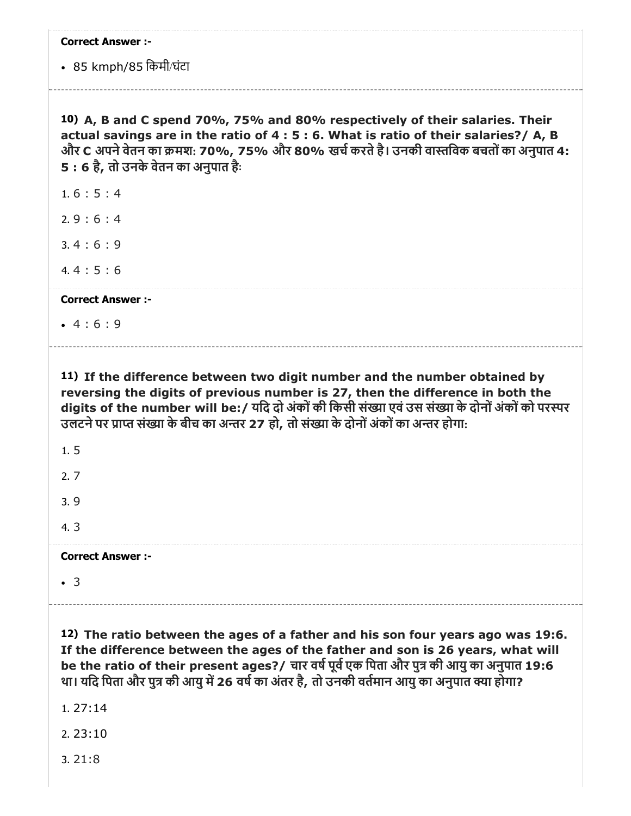| <b>Correct Answer :-</b>                                                                                                                                                                                                                                                                                                                                          |
|-------------------------------------------------------------------------------------------------------------------------------------------------------------------------------------------------------------------------------------------------------------------------------------------------------------------------------------------------------------------|
| • 85 kmph/85 किमी/घंटा                                                                                                                                                                                                                                                                                                                                            |
| 10) A, B and C spend 70%, 75% and 80% respectively of their salaries. Their<br>actual savings are in the ratio of 4 : 5 : 6. What is ratio of their salaries?/ A, B<br>और C अपने वेतन का क्रमश: 70%, 75% और 80% खर्च करते है। उनकी वास्तविक बचतों का अनुपात 4:<br>5: 6 है, तो उनके वेतन का अनुपात है:                                                             |
| 1.6:5:4                                                                                                                                                                                                                                                                                                                                                           |
| 2.9:6:4                                                                                                                                                                                                                                                                                                                                                           |
| 3.4:6:9                                                                                                                                                                                                                                                                                                                                                           |
| 4.4:5:6                                                                                                                                                                                                                                                                                                                                                           |
| <b>Correct Answer:-</b>                                                                                                                                                                                                                                                                                                                                           |
| $-4:6:9$                                                                                                                                                                                                                                                                                                                                                          |
| 11) If the difference between two digit number and the number obtained by<br>reversing the digits of previous number is 27, then the difference in both the<br>digits of the number will be:/ यदि दो अंकों की किसी संख्या एवं उस संख्या के दोनों अंकों को परस्पर<br>उलटने पर प्राप्त संख्या के बीच का अन्तर 27 हो, तो संख्या के दोनों अंकों का अन्तर होगा:        |
| 1.5                                                                                                                                                                                                                                                                                                                                                               |
| 2.7                                                                                                                                                                                                                                                                                                                                                               |
| 3.9                                                                                                                                                                                                                                                                                                                                                               |
| 4.3                                                                                                                                                                                                                                                                                                                                                               |
| <b>Correct Answer:-</b>                                                                                                                                                                                                                                                                                                                                           |
| $\cdot$ 3                                                                                                                                                                                                                                                                                                                                                         |
| 12) The ratio between the ages of a father and his son four years ago was 19:6.<br>If the difference between the ages of the father and son is 26 years, what will<br>be the ratio of their present ages?/ चार वर्ष पूर्व एक पिता और पुत्र की आयु का अनुपात 19:6<br>था। यदि पिता और पुत्र की आयु में 26 वर्ष का अंतर है, तो उनकी वर्तमान आयु का अनुपात क्या होगा? |

1. 27:14

2. 23:10

3. 21:8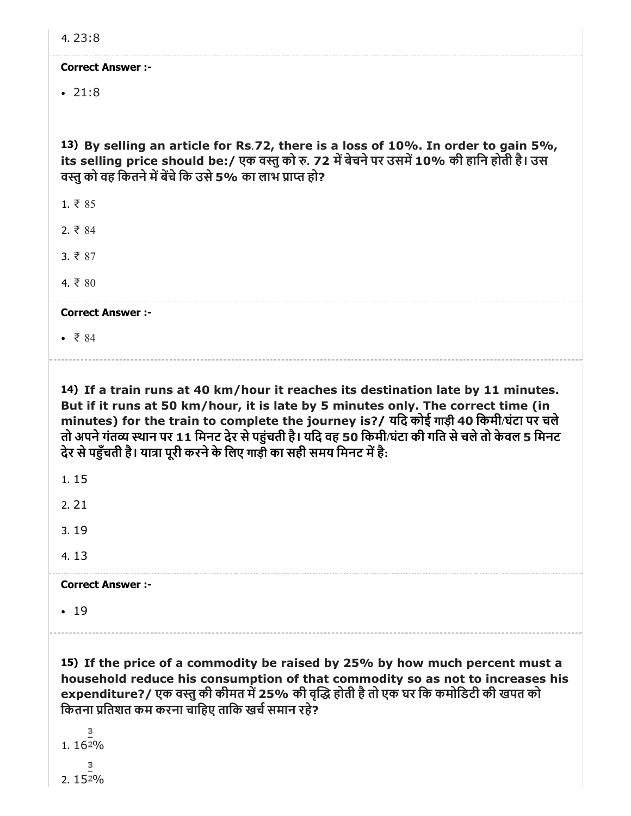$• 21:8$ 

13) By selling an article for Rs.72, there is a loss of 10%. In order to gain 5%, its selling price should be:/ एक वस्तु को रु. 72 में बेचने पर उसमें 10% की हानि होती है। उस वस्त को वह कितने में बेंचे कि उसे 5% का लाभ प्राप्त हो?

1. ₹ 85

2. ₹ 84

3. ₹ 87

 $4. ₹ 80$ 

Correct Answer :-

 $• 784$ 

14) If a train runs at 40 km/hour it reaches its destination late by 11 minutes. But if it runs at 50 km/hour, it is late by 5 minutes only. The correct time (in minutes) for the train to complete the journey is?/ यिद कोई गाड़ी 40 िकमी/घंटा पर चले तो अपनेगंतय थान पर 11 िमनट देर सेपंचती है। यिद वह 50 िकमी/घंटा की गित सेचलेतो केवल 5 िमनट देर से पहँचती है। यात्रा पूरी करने के लिए गाड़ी का सही समय मिनट में है:

| 1.15                     |  |
|--------------------------|--|
| 2.21                     |  |
| 3.19                     |  |
| 4.13                     |  |
| <b>Correct Answer :-</b> |  |
| .19                      |  |
|                          |  |

15) If the price of a commodity be raised by 25% by how much percent must a household reduce his consumption of that commodity so as not to increases his expenditure?/ एक वस्तु की कीमत में 25% की वृद्धि होती है तो एक घर कि कमोडिटी की खपत को कितना प्रतिशत कम करना चाहिए ताकि खर्च समान रहे?

 $1.162%$ з  $2.152%$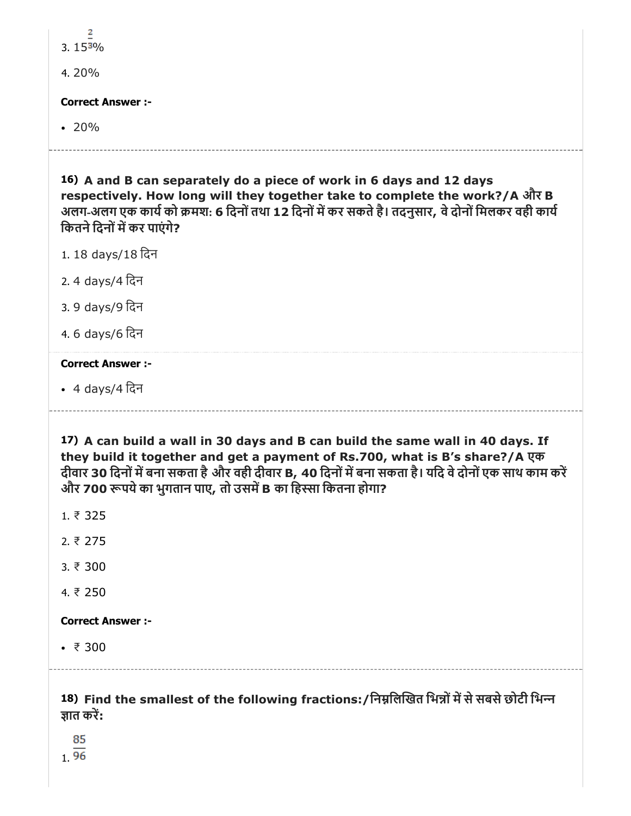| 2                                                                                                                                                                                                                                                                                                                                      |
|----------------------------------------------------------------------------------------------------------------------------------------------------------------------------------------------------------------------------------------------------------------------------------------------------------------------------------------|
| 3. $153\%$                                                                                                                                                                                                                                                                                                                             |
| 4.20%                                                                                                                                                                                                                                                                                                                                  |
| <b>Correct Answer :-</b>                                                                                                                                                                                                                                                                                                               |
| $\cdot$ 20%                                                                                                                                                                                                                                                                                                                            |
| 16) A and B can separately do a piece of work in 6 days and 12 days<br>respectively. How long will they together take to complete the work?/A और B<br>अलग-अलग एक कार्य को क्रमश: 6 दिनों तथा 12 दिनों में कर सकते है। तदनुसार, वे दोनों मिलकर वही कार्य<br>कितने दिनों में कर पाएंगे?                                                  |
| 1.18 days/18 दिन                                                                                                                                                                                                                                                                                                                       |
| 2.4 days/4 दिन                                                                                                                                                                                                                                                                                                                         |
| 3. 9 days/9 दिन                                                                                                                                                                                                                                                                                                                        |
| 4.6 days/6 दिन                                                                                                                                                                                                                                                                                                                         |
| <b>Correct Answer :-</b>                                                                                                                                                                                                                                                                                                               |
| • 4 days/4 दिन                                                                                                                                                                                                                                                                                                                         |
| 17) A can build a wall in 30 days and B can build the same wall in 40 days. If<br>they build it together and get a payment of Rs.700, what is B's share?/A एक<br>दीवार 30 दिनों में बना सकता है और वही दीवार B, 40 दिनों में बना सकता है। यदि वे दोनों एक साथ काम करें<br>और 700 रूपये का भुगतान पाए, तो उसमें B का हिस्सा कितना होगा? |
|                                                                                                                                                                                                                                                                                                                                        |
| 1.75325                                                                                                                                                                                                                                                                                                                                |
| 2.75                                                                                                                                                                                                                                                                                                                                   |
| 3.77300                                                                                                                                                                                                                                                                                                                                |
| 4. ₹ 250                                                                                                                                                                                                                                                                                                                               |
| <b>Correct Answer :-</b>                                                                                                                                                                                                                                                                                                               |
| • $\bar{x}$ 300                                                                                                                                                                                                                                                                                                                        |

1.